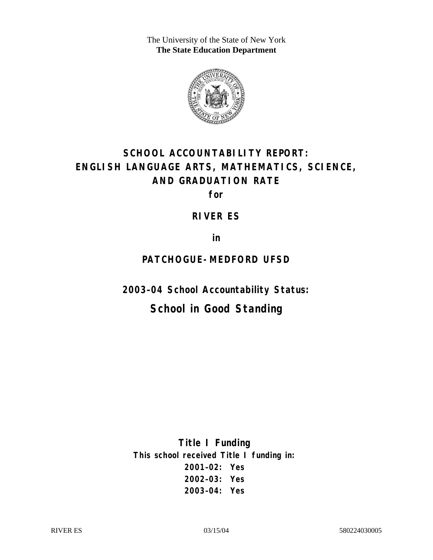The University of the State of New York **The State Education Department** 



# **SCHOOL ACCOUNTABILITY REPORT: ENGLISH LANGUAGE ARTS, MATHEMATICS, SCIENCE, AND GRADUATION RATE**

**for** 

#### **RIVER ES**

**in** 

### **PATCHOGUE-MEDFORD UFSD**

**2003–04 School Accountability Status:** 

# **School in Good Standing**

**Title I Funding This school received Title I funding in: 2001–02: Yes 2002–03: Yes 2003–04: Yes**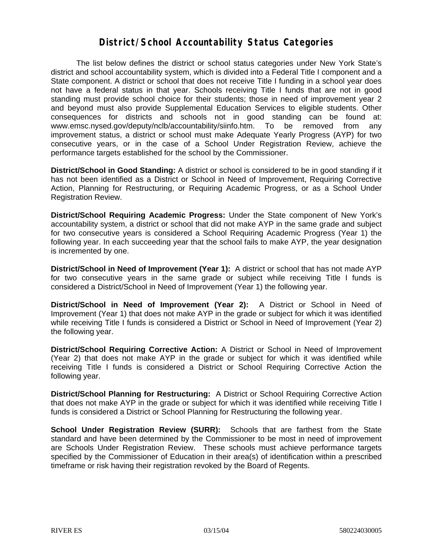#### **District/School Accountability Status Categories**

The list below defines the district or school status categories under New York State's district and school accountability system, which is divided into a Federal Title I component and a State component. A district or school that does not receive Title I funding in a school year does not have a federal status in that year. Schools receiving Title I funds that are not in good standing must provide school choice for their students; those in need of improvement year 2 and beyond must also provide Supplemental Education Services to eligible students. Other consequences for districts and schools not in good standing can be found at: www.emsc.nysed.gov/deputy/nclb/accountability/siinfo.htm. To be removed from any improvement status, a district or school must make Adequate Yearly Progress (AYP) for two consecutive years, or in the case of a School Under Registration Review, achieve the performance targets established for the school by the Commissioner.

**District/School in Good Standing:** A district or school is considered to be in good standing if it has not been identified as a District or School in Need of Improvement, Requiring Corrective Action, Planning for Restructuring, or Requiring Academic Progress, or as a School Under Registration Review.

**District/School Requiring Academic Progress:** Under the State component of New York's accountability system, a district or school that did not make AYP in the same grade and subject for two consecutive years is considered a School Requiring Academic Progress (Year 1) the following year. In each succeeding year that the school fails to make AYP, the year designation is incremented by one.

**District/School in Need of Improvement (Year 1):** A district or school that has not made AYP for two consecutive years in the same grade or subject while receiving Title I funds is considered a District/School in Need of Improvement (Year 1) the following year.

**District/School in Need of Improvement (Year 2):** A District or School in Need of Improvement (Year 1) that does not make AYP in the grade or subject for which it was identified while receiving Title I funds is considered a District or School in Need of Improvement (Year 2) the following year.

**District/School Requiring Corrective Action:** A District or School in Need of Improvement (Year 2) that does not make AYP in the grade or subject for which it was identified while receiving Title I funds is considered a District or School Requiring Corrective Action the following year.

**District/School Planning for Restructuring:** A District or School Requiring Corrective Action that does not make AYP in the grade or subject for which it was identified while receiving Title I funds is considered a District or School Planning for Restructuring the following year.

**School Under Registration Review (SURR):** Schools that are farthest from the State standard and have been determined by the Commissioner to be most in need of improvement are Schools Under Registration Review. These schools must achieve performance targets specified by the Commissioner of Education in their area(s) of identification within a prescribed timeframe or risk having their registration revoked by the Board of Regents.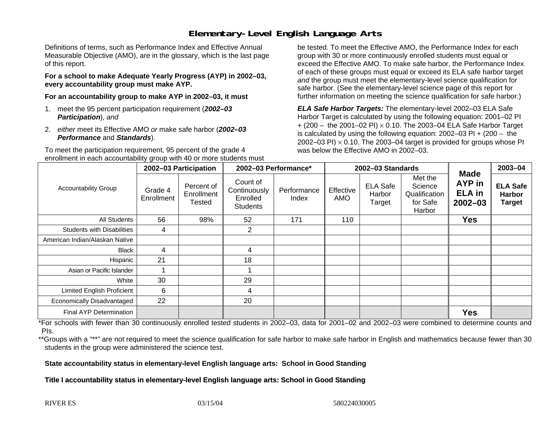# **Elementary-Level English Language Arts**

Definitions of terms, such as Performance Index and Effective Annual Measurable Objective (AMO), are in the glossary, which is the last page of this report.

**For a school to make Adequate Yearly Progress (AYP) in 2002–03, every accountability group must make AYP.** 

**For an accountability group to make AYP in 2002–03, it must** 

- 1. meet the 95 percent participation requirement (*2002–03 Participation*), *and*
- 2. *either* meet its Effective AMO *or* make safe harbor (*2002–03 Performance* and *Standards*).

To meet the participation requirement, 95 percent of the grade 4 enrollment in each accountability group with 40 or more students must

be tested. To meet the Effective AMO, the Performance Index for each group with 30 or more continuously enrolled students must equal or exceed the Effective AMO. To make safe harbor, the Performance Index of each of these groups must equal or exceed its ELA safe harbor target *and* the group must meet the elementary-level science qualification for safe harbor. (See the elementary-level science page of this report for further information on meeting the science qualification for safe harbor.)

*ELA Safe Harbor Targets:* The elementary-level 2002–03 ELA Safe Harbor Target is calculated by using the following equation: 2001–02 PI + (200 – the 2001–02 PI) <sup>×</sup> 0.10. The 2003–04 ELA Safe Harbor Target is calculated by using the following equation: 2002–03 PI + (200 – the 2002–03 PI)  $\times$  0.10. The 2003–04 target is provided for groups whose PI was below the Effective AMO in 2002–03.

| <b>Accountability Group</b>       | 2002-03 Participation |                                    | 2002-03 Performance*                                    |                      | 2002-03 Standards |                                     |                                                           |                                                              | 2003-04                                           |
|-----------------------------------|-----------------------|------------------------------------|---------------------------------------------------------|----------------------|-------------------|-------------------------------------|-----------------------------------------------------------|--------------------------------------------------------------|---------------------------------------------------|
|                                   | Grade 4<br>Enrollment | Percent of<br>Enrollment<br>Tested | Count of<br>Continuously<br>Enrolled<br><b>Students</b> | Performance<br>Index | Effective<br>AMO  | <b>ELA Safe</b><br>Harbor<br>Target | Met the<br>Science<br>Qualification<br>for Safe<br>Harbor | <b>Made</b><br><b>AYP</b> in<br><b>ELA</b> in<br>$2002 - 03$ | <b>ELA Safe</b><br><b>Harbor</b><br><b>Target</b> |
| All Students                      | 56                    | 98%                                | 52                                                      | 171                  | 110               |                                     |                                                           | <b>Yes</b>                                                   |                                                   |
| <b>Students with Disabilities</b> | 4                     |                                    | $\overline{2}$                                          |                      |                   |                                     |                                                           |                                                              |                                                   |
| American Indian/Alaskan Native    |                       |                                    |                                                         |                      |                   |                                     |                                                           |                                                              |                                                   |
| Black                             | 4                     |                                    | 4                                                       |                      |                   |                                     |                                                           |                                                              |                                                   |
| Hispanic                          | 21                    |                                    | 18                                                      |                      |                   |                                     |                                                           |                                                              |                                                   |
| Asian or Pacific Islander         |                       |                                    |                                                         |                      |                   |                                     |                                                           |                                                              |                                                   |
| White                             | 30                    |                                    | 29                                                      |                      |                   |                                     |                                                           |                                                              |                                                   |
| <b>Limited English Proficient</b> | 6                     |                                    | 4                                                       |                      |                   |                                     |                                                           |                                                              |                                                   |
| Economically Disadvantaged        | 22                    |                                    | 20                                                      |                      |                   |                                     |                                                           |                                                              |                                                   |
| Final AYP Determination           |                       |                                    |                                                         |                      |                   |                                     |                                                           | <b>Yes</b>                                                   |                                                   |

\*For schools with fewer than 30 continuously enrolled tested students in 2002–03, data for 2001–02 and 2002–03 were combined to determine counts and PIs.

\*\*Groups with a "\*\*" are not required to meet the science qualification for safe harbor to make safe harbor in English and mathematics because fewer than 30 students in the group were administered the science test.

**State accountability status in elementary-level English language arts: School in Good Standing** 

Title I accountability status in elementary-level English language arts: School in Good Standing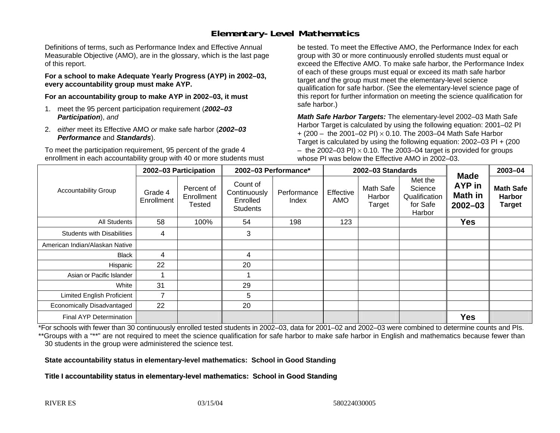# **Elementary-Level Mathematics**

Definitions of terms, such as Performance Index and Effective Annual Measurable Objective (AMO), are in the glossary, which is the last page of this report.

**For a school to make Adequate Yearly Progress (AYP) in 2002–03, every accountability group must make AYP.** 

**For an accountability group to make AYP in 2002–03, it must** 

- 1. meet the 95 percent participation requirement (*2002–03 Participation*), *and*
- 2. *either* meet its Effective AMO *or* make safe harbor (*2002–03 Performance* and *Standards*).

To meet the participation requirement, 95 percent of the grade 4 enrollment in each accountability group with 40 or more students must

be tested. To meet the Effective AMO, the Performance Index for each group with 30 or more continuously enrolled students must equal or exceed the Effective AMO. To make safe harbor, the Performance Index of each of these groups must equal or exceed its math safe harbor target *and* the group must meet the elementary-level science qualification for safe harbor. (See the elementary-level science page of this report for further information on meeting the science qualification for safe harbor.)

*Math Safe Harbor Targets:* The elementary-level 2002–03 Math Safe Harbor Target is calculated by using the following equation: 2001–02 PI + (200 – the 2001–02 PI) × 0.10. The 2003–04 Math Safe Harbor Target is calculated by using the following equation: 2002–03 PI + (200  $-$  the 2002–03 PI)  $\times$  0.10. The 2003–04 target is provided for groups whose PI was below the Effective AMO in 2002–03.

| <b>Accountability Group</b>       | 2002-03 Participation |                                    | 2002-03 Performance*                                    |                      | 2002-03 Standards       |                               |                                                           |                                                        | 2003-04                                            |
|-----------------------------------|-----------------------|------------------------------------|---------------------------------------------------------|----------------------|-------------------------|-------------------------------|-----------------------------------------------------------|--------------------------------------------------------|----------------------------------------------------|
|                                   | Grade 4<br>Enrollment | Percent of<br>Enrollment<br>Tested | Count of<br>Continuously<br>Enrolled<br><b>Students</b> | Performance<br>Index | Effective<br><b>AMO</b> | Math Safe<br>Harbor<br>Target | Met the<br>Science<br>Qualification<br>for Safe<br>Harbor | <b>Made</b><br>AYP in<br><b>Math in</b><br>$2002 - 03$ | <b>Math Safe</b><br><b>Harbor</b><br><b>Target</b> |
| All Students                      | 58                    | 100%                               | 54                                                      | 198                  | 123                     |                               |                                                           | <b>Yes</b>                                             |                                                    |
| <b>Students with Disabilities</b> | 4                     |                                    | 3                                                       |                      |                         |                               |                                                           |                                                        |                                                    |
| American Indian/Alaskan Native    |                       |                                    |                                                         |                      |                         |                               |                                                           |                                                        |                                                    |
| <b>Black</b>                      | 4                     |                                    | 4                                                       |                      |                         |                               |                                                           |                                                        |                                                    |
| Hispanic                          | 22                    |                                    | 20                                                      |                      |                         |                               |                                                           |                                                        |                                                    |
| Asian or Pacific Islander         |                       |                                    |                                                         |                      |                         |                               |                                                           |                                                        |                                                    |
| White                             | 31                    |                                    | 29                                                      |                      |                         |                               |                                                           |                                                        |                                                    |
| <b>Limited English Proficient</b> | $\overline{7}$        |                                    | 5                                                       |                      |                         |                               |                                                           |                                                        |                                                    |
| Economically Disadvantaged        | 22                    |                                    | 20                                                      |                      |                         |                               |                                                           |                                                        |                                                    |
| <b>Final AYP Determination</b>    |                       |                                    |                                                         |                      |                         |                               |                                                           | <b>Yes</b>                                             |                                                    |

\*For schools with fewer than 30 continuously enrolled tested students in 2002–03, data for 2001–02 and 2002–03 were combined to determine counts and PIs. \*\*Groups with a "\*\*" are not required to meet the science qualification for safe harbor to make safe harbor in English and mathematics because fewer than 30 students in the group were administered the science test.

**State accountability status in elementary-level mathematics: School in Good Standing** 

Title I accountability status in elementary-level mathematics: School in Good Standing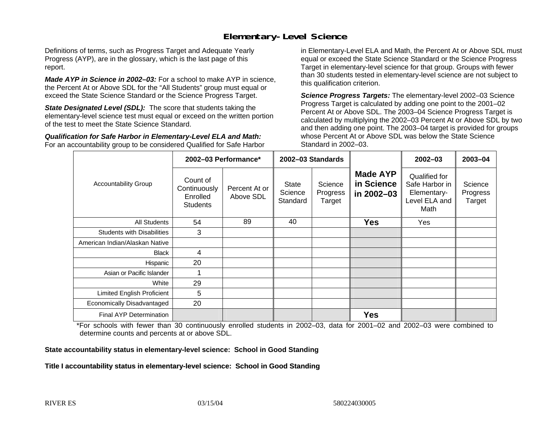### **Elementary-Level Science**

Definitions of terms, such as Progress Target and Adequate Yearly Progress (AYP), are in the glossary, which is the last page of this report.

*Made AYP in Science in 2002–03:* For a school to make AYP in science, the Percent At or Above SDL for the "All Students" group must equal or exceed the State Science Standard or the Science Progress Target.

**State Designated Level (SDL):** The score that students taking the elementary-level science test must equal or exceed on the written portion of the test to meet the State Science Standard.

*Qualification for Safe Harbor in Elementary-Level ELA and Math:* For an accountability group to be considered Qualified for Safe Harbor in Elementary-Level ELA and Math, the Percent At or Above SDL must equal or exceed the State Science Standard or the Science Progress Target in elementary-level science for that group. Groups with fewer than 30 students tested in elementary-level science are not subject to this qualification criterion.

*Science Progress Targets:* The elementary-level 2002–03 Science Progress Target is calculated by adding one point to the 2001–02 Percent At or Above SDL. The 2003–04 Science Progress Target is calculated by multiplying the 2002–03 Percent At or Above SDL by two and then adding one point. The 2003–04 target is provided for groups whose Percent At or Above SDL was below the State Science Standard in 2002–03.

|                                   | 2002-03 Performance*                                    |                            | 2002-03 Standards                   |                               |                                             | $2002 - 03$                                                             | $2003 - 04$                   |
|-----------------------------------|---------------------------------------------------------|----------------------------|-------------------------------------|-------------------------------|---------------------------------------------|-------------------------------------------------------------------------|-------------------------------|
| <b>Accountability Group</b>       | Count of<br>Continuously<br>Enrolled<br><b>Students</b> | Percent At or<br>Above SDL | <b>State</b><br>Science<br>Standard | Science<br>Progress<br>Target | <b>Made AYP</b><br>in Science<br>in 2002-03 | Qualified for<br>Safe Harbor in<br>Elementary-<br>Level ELA and<br>Math | Science<br>Progress<br>Target |
| All Students                      | 54                                                      | 89                         | 40                                  |                               | <b>Yes</b>                                  | Yes                                                                     |                               |
| <b>Students with Disabilities</b> | 3                                                       |                            |                                     |                               |                                             |                                                                         |                               |
| American Indian/Alaskan Native    |                                                         |                            |                                     |                               |                                             |                                                                         |                               |
| <b>Black</b>                      | 4                                                       |                            |                                     |                               |                                             |                                                                         |                               |
| Hispanic                          | 20                                                      |                            |                                     |                               |                                             |                                                                         |                               |
| Asian or Pacific Islander         |                                                         |                            |                                     |                               |                                             |                                                                         |                               |
| White                             | 29                                                      |                            |                                     |                               |                                             |                                                                         |                               |
| Limited English Proficient        | 5                                                       |                            |                                     |                               |                                             |                                                                         |                               |
| Economically Disadvantaged        | 20                                                      |                            |                                     |                               |                                             |                                                                         |                               |
| <b>Final AYP Determination</b>    |                                                         |                            |                                     |                               | <b>Yes</b>                                  |                                                                         |                               |

\*For schools with fewer than 30 continuously enrolled students in 2002–03, data for 2001–02 and 2002–03 were combined to determine counts and percents at or above SDL.

#### **State accountability status in elementary-level science: School in Good Standing**

#### Title I accountability status in elementary-level science: School in Good Standing